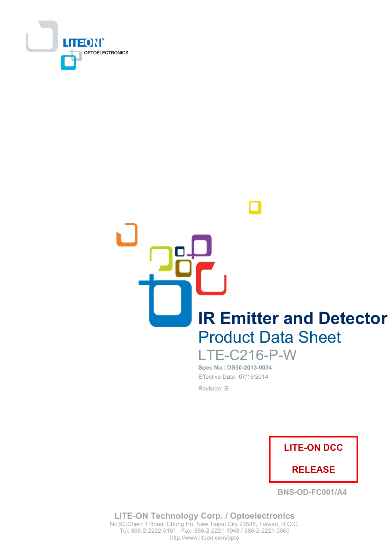

**IR Emitter and Detector Product Data Sheet** 

> **LTE-C216-P-W** Spec No.: DS50-2013-0034

Effective Date: 07/15/2014 Revision: B



**BNS-OD-FC001/A4** 

**LITE-ON Technology Corp. / Optoelectronics** No.90, Chien 1 Road, Chung Ho, New Taipei City 23585, Taiwan, R.O.C. Tel: 886-2-2222-6181 Fax: 886-2-2221-1948 / 886-2-2221-0660 http://www.liteon.com/opto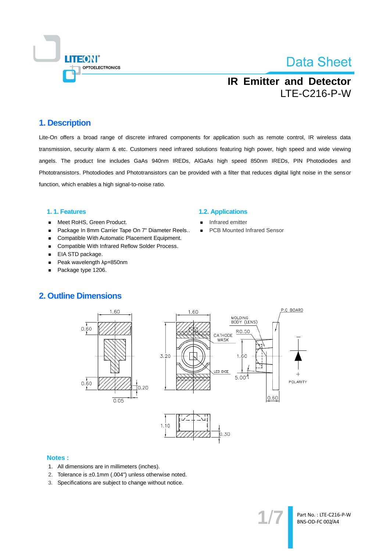

## **IR Emitter and Detector LTE-C216-P-W**

#### 1. Description

Lite-On offers a broad range of discrete infrared components for application such as remote control, IR wireless data transmission, security alarm & etc. Customers need infrared solutions featuring high power, high speed and wide viewing angels. The product line includes GaAs 940nm IREDs, AIGaAs high speed 850nm IREDs, PIN Photodiodes and Phototransistors. Photodiodes and Phototransistors can be provided with a filter that reduces digital light noise in the sensor function, which enables a high signal-to-noise ratio.

#### 1.1. Features

- Meet RoHS, Green Product.  $\blacksquare$
- Package In 8mm Carrier Tape On 7" Diameter Reels..  $\blacksquare$
- Compatible With Automatic Placement Equipment.
- Compatible With Infrared Reflow Solder Process.  $\blacksquare$
- EIA STD package.  $\blacksquare$
- Peak wavelength  $\lambda$ p=850nm  $\blacksquare$
- Package type 1206.

#### **1.2. Applications**

- Infrared emitter
- **PCB Mounted Infrared Sensor**

### **2. Outline Dimensions**



#### **Notes:**

- 1. All dimensions are in millimeters (inches).
- 2. Tolerance is ±0.1mm (.004") unless otherwise noted.
- 3. Specifications are subject to change without notice.

Part No.: LTE-C216-P-W BNS-OD-FC 002/A4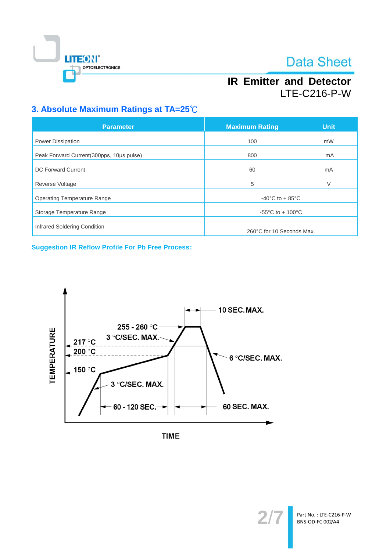

## **IR Emitter and Detector LTE-C216-P-W**

## 3. Absolute Maximum Ratings at TA=25°C

| <b>Parameter</b>                         | <b>Maximum Rating</b>                 | <b>Unit</b> |  |
|------------------------------------------|---------------------------------------|-------------|--|
| Power Dissipation                        | 100                                   | mW          |  |
| Peak Forward Current(300pps, 10us pulse) | 800                                   | mA          |  |
| <b>DC Forward Current</b>                | 60                                    | mA          |  |
| Reverse Voltage                          | 5                                     | V           |  |
| <b>Operating Temperature Range</b>       | $-40^{\circ}$ C to $+85^{\circ}$ C    |             |  |
| Storage Temperature Range                | $-55^{\circ}$ C to + 100 $^{\circ}$ C |             |  |
| Infrared Soldering Condition             | 260°C for 10 Seconds Max.             |             |  |

**Suggestion IR Reflow Profile For Pb Free Process:** 



**TIME** 

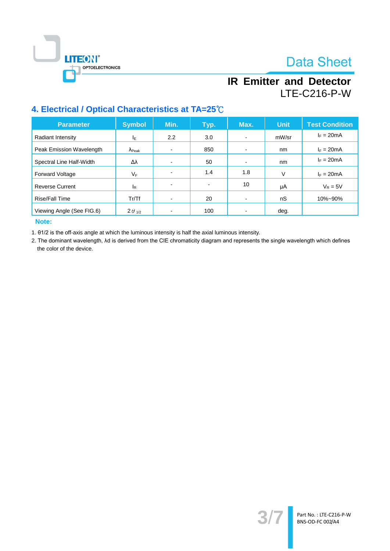

## **IR Emitter and Detector LTE-C216-P-W**

## 4. Electrical / Optical Characteristics at TA=25°C

| <b>Parameter</b>          | <b>Symbol</b>           | Min.                     | Typ.           | Max.                     | <b>Unit</b> | <b>Test Condition</b> |
|---------------------------|-------------------------|--------------------------|----------------|--------------------------|-------------|-----------------------|
| Radiant Intensity         | ΙE                      | $2.2^{\circ}$            | 3.0            | $\overline{\phantom{0}}$ | mW/sr       | $I_F = 20mA$          |
| Peak Emission Wavelength  | $\Lambda_{\text{Peak}}$ |                          | 850            |                          | nm          | $I_F = 20mA$          |
| Spectral Line Half-Width  | Δλ                      |                          | 50             | $\overline{\phantom{0}}$ | nm          | $I_F = 20mA$          |
| <b>Forward Voltage</b>    | $V_F$                   | -                        | 1.4            | 1.8                      | v           | $I_F = 20mA$          |
| <b>Reverse Current</b>    | <sup>I</sup> R          | $\overline{\phantom{0}}$ | $\blacksquare$ | 10                       | μA          | $V_R = 5V$            |
| Rise/Fall Time            | Tr/Tf                   |                          | 20             |                          | nS          | 10%~90%               |
| Viewing Angle (See FIG.6) | $2\theta_{1/2}$         |                          | 100            |                          | deg.        |                       |

Note:

1. 01/2 is the off-axis angle at which the luminous intensity is half the axial luminous intensity.

2. The dominant wavelength, Ad is derived from the CIE chromaticity diagram and represents the single wavelength which defines the color of the device.

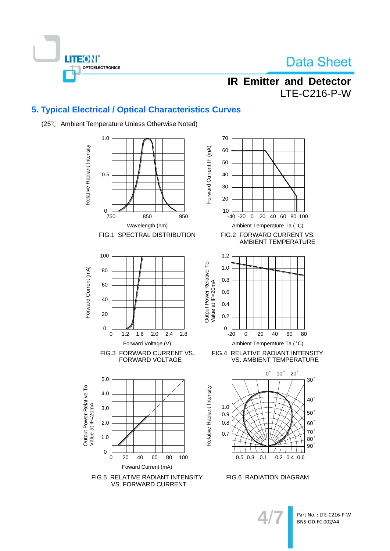

## **IR Emitter and Detector LTE-C216-P-W**

## 5. Typical Electrical / Optical Characteristics Curves



(25°C Ambient Temperature Unless Otherwise Noted)

80

 $30<sup>°</sup>$ 

 $40^\circ$ 

 $50<sup>′</sup>$ 

 $60^\circ$ 

 $70^\circ$ 

 $80<sup>°</sup>$  $90^\circ$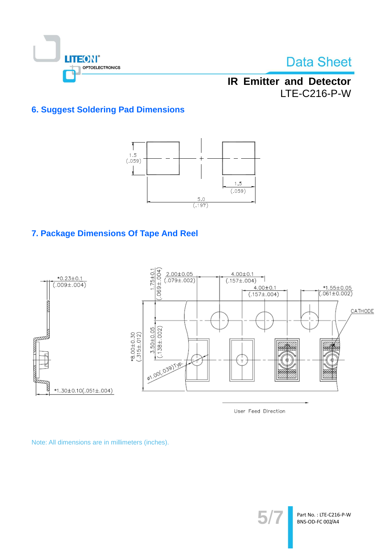

## **IR Emitter and Detector LTE-C216-P-W**

## **6. Suggest Soldering Pad Dimensions**



## 7. Package Dimensions Of Tape And Reel



User Feed Direction

Note: All dimensions are in millimeters (inches).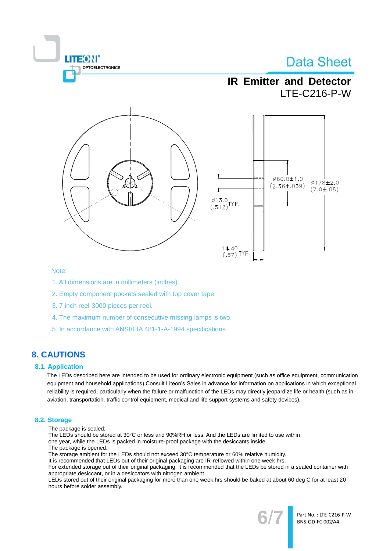# **ITEON® OPTOELECTRONICS**

# **Data Sheet**

## **IR Emitter and Detector LTE-C216-P-W**



#### Note:

- 1. All dimensions are in millimeters (inches).
- 2. Empty component pockets sealed with top cover tape.
- 3.7 inch reel-3000 pieces per reel.
- 4. The maximum number of consecutive missing lamps is two.
- 5. In accordance with ANSI/EIA 481-1-A-1994 specifications.

## **8. CAUTIONS**

#### **8.1. Application**

The LEDs described here are intended to be used for ordinary electronic equipment (such as office equipment, communication equipment and household applications). Consult Liteon's Sales in advance for information on applications in which exceptional reliability is required, particularly when the failure or malfunction of the LEDs may directly jeopardize life or health (such as in aviation, transportation, traffic control equipment, medical and life support systems and safety devices).

#### 8.2. Storage

The package is sealed:

The LEDs should be stored at 30°C or less and 90%RH or less. And the LEDs are limited to use within one year, while the LEDs is packed in moisture-proof package with the desiccants inside.

The package is opened:

The storage ambient for the LEDs should not exceed 30°C temperature or 60% relative humidity.

It is recommended that LEDs out of their original packaging are IR-reflowed within one week hrs.

For extended storage out of their original packaging, it is recommended that the LEDs be stored in a sealed container with appropriate desiccant, or in a desiccators with nitrogen ambient.

LEDs stored out of their original packaging for more than one week hrs should be baked at about 60 deg C for at least 20 hours before solder assembly.



Part No.: LTE-C216-P-W BNS-OD-FC 002/A4